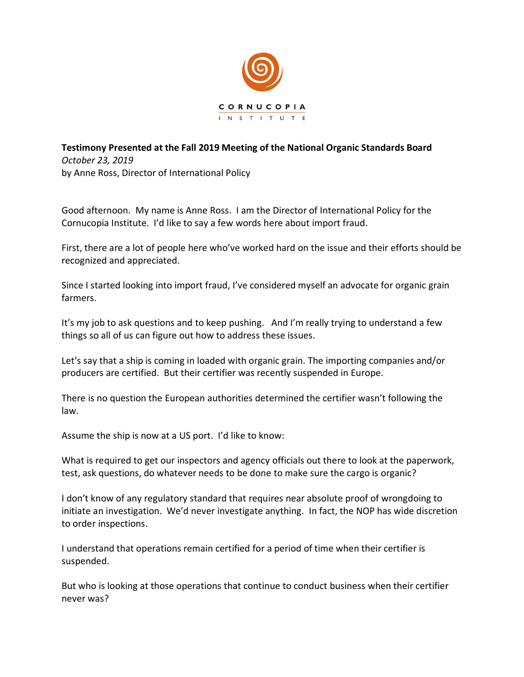

## **Testimony Presented at the Fall 2019 Meeting of the National Organic Standards Board**  *October 23, 2019*  by Anne Ross, Director of International Policy

Good afternoon. My name is Anne Ross. I am the Director of International Policy for the Cornucopia Institute. I'd like to say a few words here about import fraud.

First, there are a lot of people here who've worked hard on the issue and their efforts should be recognized and appreciated.

Since I started looking into import fraud, I've considered myself an advocate for organic grain farmers.

It's my job to ask questions and to keep pushing. And I'm really trying to understand a few things so all of us can figure out how to address these issues.

Let's say that a ship is coming in loaded with organic grain. The importing companies and/or producers are certified. But their certifier was recently suspended in Europe.

There is no question the European authorities determined the certifier wasn't following the law.

Assume the ship is now at a US port. I'd like to know:

What is required to get our inspectors and agency officials out there to look at the paperwork, test, ask questions, do whatever needs to be done to make sure the cargo is organic?

I don't know of any regulatory standard that requires near absolute proof of wrongdoing to initiate an investigation. We'd never investigate anything. In fact, the NOP has wide discretion to order inspections.

I understand that operations remain certified for a period of time when their certifier is suspended.

But who is looking at those operations that continue to conduct business when their certifier never was?